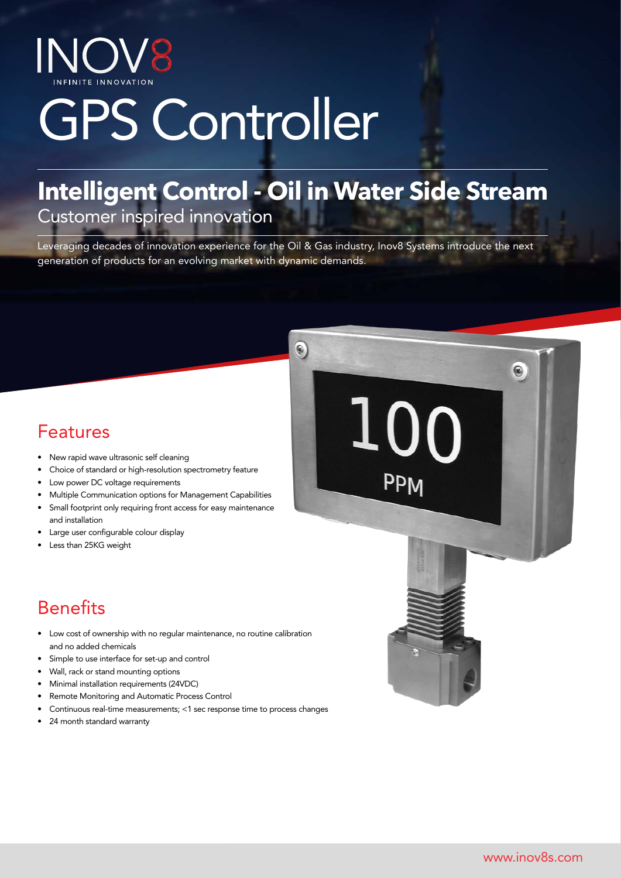INOV8

# GPS Controller

# **Intelligent Control - Oil in Water Side Stream**

Customer inspired innovation

Leveraging decades of innovation experience for the Oil & Gas industry, Inov8 Systems introduce the next generation of products for an evolving market with dynamic demands.

 $\widehat{\bullet}$ 

 $1($ 

00

PPM

### Features

- New rapid wave ultrasonic self cleaning
- Choice of standard or high-resolution spectrometry feature
- Low power DC voltage requirements
- Multiple Communication options for Management Capabilities
- Small footprint only requiring front access for easy maintenance and installation
- Large user configurable colour display
- Less than 25KG weight

### **Benefits**

- Low cost of ownership with no regular maintenance, no routine calibration and no added chemicals
- Simple to use interface for set-up and control
- Wall, rack or stand mounting options
- Minimal installation requirements (24VDC)
- Remote Monitoring and Automatic Process Control
- Continuous real-time measurements; <1 sec response time to process changes
- 24 month standard warranty